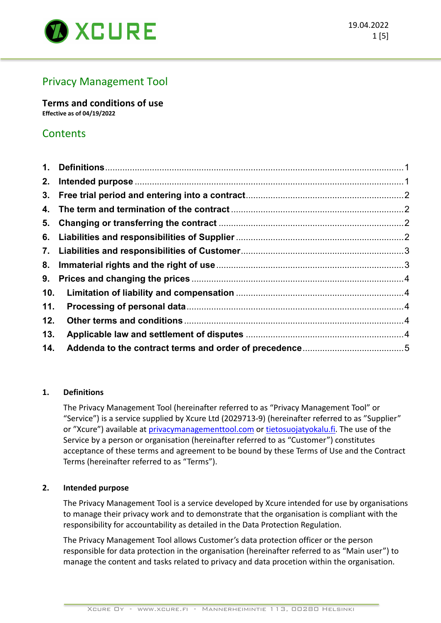

# Privacy Management Tool

**Terms and conditions of use Effective as of 04/19/2022**

# **Contents**

| 2.  |  |
|-----|--|
|     |  |
| 4.  |  |
| 5.  |  |
|     |  |
|     |  |
|     |  |
|     |  |
| 10. |  |
| 11. |  |
| 12. |  |
| 13. |  |
| 14. |  |

# **1. Definitions**

The Privacy Management Tool (hereinafter referred to as "Privacy Management Tool" or "Service") is a service supplied by Xcure Ltd (2029713-9) (hereinafter referred to as "Supplier" or "Xcure") available at privacymanagementtool.com or tietosuojatyokalu.fi. The use of the Service by a person or organisation (hereinafter referred to as "Customer") constitutes acceptance of these terms and agreement to be bound by these Terms of Use and the Contract Terms (hereinafter referred to as "Terms").

# **2. Intended purpose**

The Privacy Management Tool is a service developed by Xcure intended for use by organisations to manage their privacy work and to demonstrate that the organisation is compliant with the responsibility for accountability as detailed in the Data Protection Regulation.

The Privacy Management Tool allows Customer's data protection officer or the person responsible for data protection in the organisation (hereinafter referred to as "Main user") to manage the content and tasks related to privacy and data procetion within the organisation.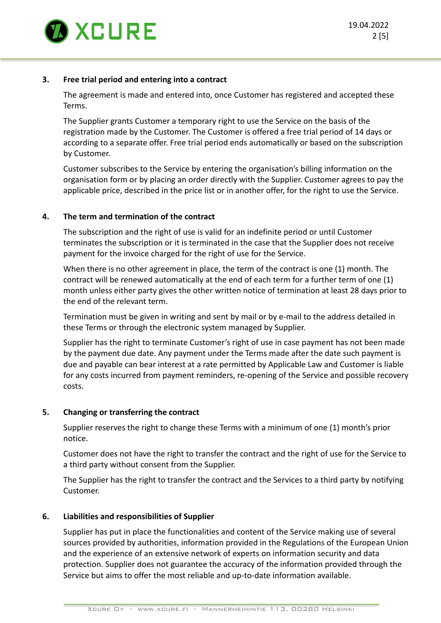

## **3. Free trial period and entering into a contract**

The agreement is made and entered into, once Customer has registered and accepted these Terms.

The Supplier grants Customer a temporary right to use the Service on the basis of the registration made by the Customer. The Customer is offered a free trial period of 14 days or according to a separate offer. Free trial period ends automatically or based on the subscription by Customer.

Customer subscribes to the Service by entering the organisation's billing information on the organisation form or by placing an order directly with the Supplier. Customer agrees to pay the applicable price, described in the price list or in another offer, for the right to use the Service.

## **4. The term and termination of the contract**

The subscription and the right of use is valid for an indefinite period or until Customer terminates the subscription or it is terminated in the case that the Supplier does not receive payment for the invoice charged for the right of use for the Service.

When there is no other agreement in place, the term of the contract is one (1) month. The contract will be renewed automatically at the end of each term for a further term of one (1) month unless either party gives the other written notice of termination at least 28 days prior to the end of the relevant term.

Termination must be given in writing and sent by mail or by e-mail to the address detailed in these Terms or through the electronic system managed by Supplier.

Supplier has the right to terminate Customer's right of use in case payment has not been made by the payment due date. Any payment under the Terms made after the date such payment is due and payable can bear interest at a rate permitted by Applicable Law and Customer is liable for any costs incurred from payment reminders, re-opening of the Service and possible recovery costs.

### **5. Changing or transferring the contract**

Supplier reserves the right to change these Terms with a minimum of one (1) month's prior notice.

Customer does not have the right to transfer the contract and the right of use for the Service to a third party without consent from the Supplier.

The Supplier has the right to transfer the contract and the Services to a third party by notifying Customer.

### **6. Liabilities and responsibilities of Supplier**

Supplier has put in place the functionalities and content of the Service making use of several sources provided by authorities, information provided in the Regulations of the European Union and the experience of an extensive network of experts on information security and data protection. Supplier does not guarantee the accuracy of the information provided through the Service but aims to offer the most reliable and up-to-date information available.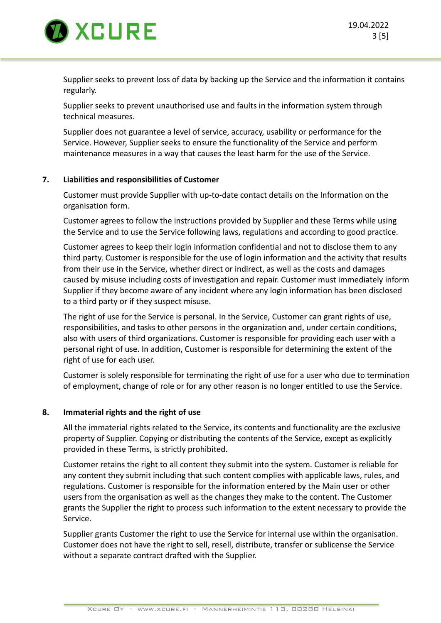

Supplier seeks to prevent loss of data by backing up the Service and the information it contains regularly.

Supplier seeks to prevent unauthorised use and faults in the information system through technical measures.

Supplier does not guarantee a level of service, accuracy, usability or performance for the Service. However, Supplier seeks to ensure the functionality of the Service and perform maintenance measures in a way that causes the least harm for the use of the Service.

## **7. Liabilities and responsibilities of Customer**

Customer must provide Supplier with up-to-date contact details on the Information on the organisation form.

Customer agrees to follow the instructions provided by Supplier and these Terms while using the Service and to use the Service following laws, regulations and according to good practice.

Customer agrees to keep their login information confidential and not to disclose them to any third party. Customer is responsible for the use of login information and the activity that results from their use in the Service, whether direct or indirect, as well as the costs and damages caused by misuse including costs of investigation and repair. Customer must immediately inform Supplier if they become aware of any incident where any login information has been disclosed to a third party or if they suspect misuse.

The right of use for the Service is personal. In the Service, Customer can grant rights of use, responsibilities, and tasks to other persons in the organization and, under certain conditions, also with users of third organizations. Customer is responsible for providing each user with a personal right of use. In addition, Customer is responsible for determining the extent of the right of use for each user.

Customer is solely responsible for terminating the right of use for a user who due to termination of employment, change of role or for any other reason is no longer entitled to use the Service.

### **8. Immaterial rights and the right of use**

All the immaterial rights related to the Service, its contents and functionality are the exclusive property of Supplier. Copying or distributing the contents of the Service, except as explicitly provided in these Terms, is strictly prohibited.

Customer retains the right to all content they submit into the system. Customer is reliable for any content they submit including that such content complies with applicable laws, rules, and regulations. Customer is responsible for the information entered by the Main user or other users from the organisation as well as the changes they make to the content. The Customer grants the Supplier the right to process such information to the extent necessary to provide the Service.

Supplier grants Customer the right to use the Service for internal use within the organisation. Customer does not have the right to sell, resell, distribute, transfer or sublicense the Service without a separate contract drafted with the Supplier.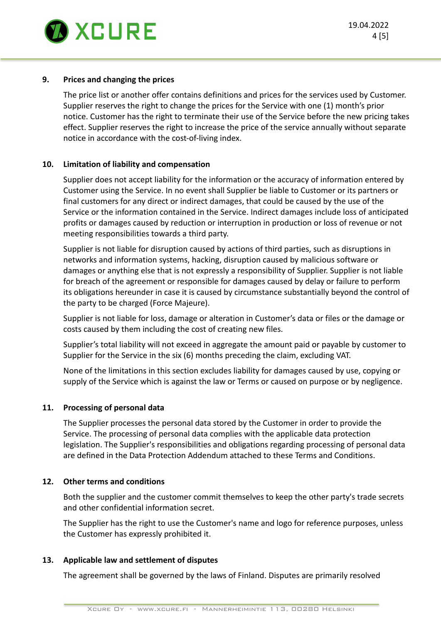

## **9. Prices and changing the prices**

The price list or another offer contains definitions and prices for the services used by Customer. Supplier reserves the right to change the prices for the Service with one (1) month's prior notice. Customer has the right to terminate their use of the Service before the new pricing takes effect. Supplier reserves the right to increase the price of the service annually without separate notice in accordance with the cost-of-living index.

## **10. Limitation of liability and compensation**

Supplier does not accept liability for the information or the accuracy of information entered by Customer using the Service. In no event shall Supplier be liable to Customer or its partners or final customers for any direct or indirect damages, that could be caused by the use of the Service or the information contained in the Service. Indirect damages include loss of anticipated profits or damages caused by reduction or interruption in production or loss of revenue or not meeting responsibilities towards a third party.

Supplier is not liable for disruption caused by actions of third parties, such as disruptions in networks and information systems, hacking, disruption caused by malicious software or damages or anything else that is not expressly a responsibility of Supplier. Supplier is not liable for breach of the agreement or responsible for damages caused by delay or failure to perform its obligations hereunder in case it is caused by circumstance substantially beyond the control of the party to be charged (Force Majeure).

Supplier is not liable for loss, damage or alteration in Customer's data or files or the damage or costs caused by them including the cost of creating new files.

Supplier's total liability will not exceed in aggregate the amount paid or payable by customer to Supplier for the Service in the six (6) months preceding the claim, excluding VAT.

None of the limitations in this section excludes liability for damages caused by use, copying or supply of the Service which is against the law or Terms or caused on purpose or by negligence.

### **11. Processing of personal data**

The Supplier processes the personal data stored by the Customer in order to provide the Service. The processing of personal data complies with the applicable data protection legislation. The Supplier's responsibilities and obligations regarding processing of personal data are defined in the Data Protection Addendum attached to these Terms and Conditions.

### **12. Other terms and conditions**

Both the supplier and the customer commit themselves to keep the other party's trade secrets and other confidential information secret.

The Supplier has the right to use the Customer's name and logo for reference purposes, unless the Customer has expressly prohibited it.

### **13. Applicable law and settlement of disputes**

The agreement shall be governed by the laws of Finland. Disputes are primarily resolved